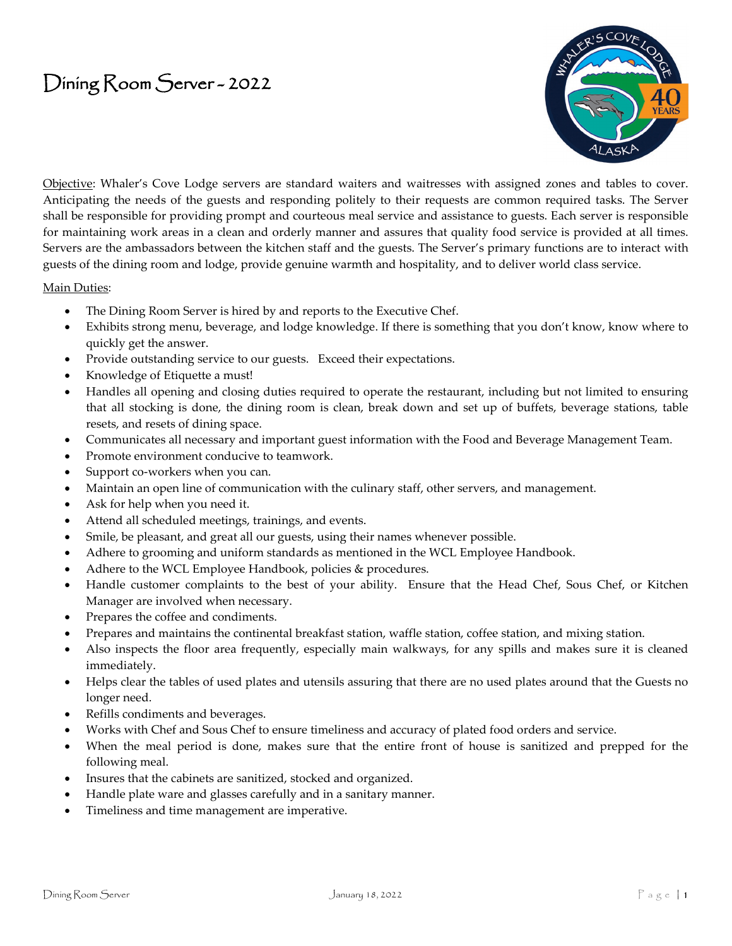## Dining Room Server - 2022



Objective: Whaler's Cove Lodge servers are standard waiters and waitresses with assigned zones and tables to cover. Anticipating the needs of the guests and responding politely to their requests are common required tasks. The Server shall be responsible for providing prompt and courteous meal service and assistance to guests. Each server is responsible for maintaining work areas in a clean and orderly manner and assures that quality food service is provided at all times. Servers are the ambassadors between the kitchen staff and the guests. The Server's primary functions are to interact with guests of the dining room and lodge, provide genuine warmth and hospitality, and to deliver world class service.

## Main Duties:

- The Dining Room Server is hired by and reports to the Executive Chef.
- Exhibits strong menu, beverage, and lodge knowledge. If there is something that you don't know, know where to quickly get the answer.
- Provide outstanding service to our guests. Exceed their expectations.
- Knowledge of Etiquette a must!
- Handles all opening and closing duties required to operate the restaurant, including but not limited to ensuring that all stocking is done, the dining room is clean, break down and set up of buffets, beverage stations, table resets, and resets of dining space.
- Communicates all necessary and important guest information with the Food and Beverage Management Team.
- Promote environment conducive to teamwork.
- Support co-workers when you can.
- Maintain an open line of communication with the culinary staff, other servers, and management.
- Ask for help when you need it.
- Attend all scheduled meetings, trainings, and events.
- Smile, be pleasant, and great all our guests, using their names whenever possible.
- Adhere to grooming and uniform standards as mentioned in the WCL Employee Handbook.
- Adhere to the WCL Employee Handbook, policies & procedures.
- Handle customer complaints to the best of your ability. Ensure that the Head Chef, Sous Chef, or Kitchen Manager are involved when necessary.
- Prepares the coffee and condiments.
- Prepares and maintains the continental breakfast station, waffle station, coffee station, and mixing station.
- Also inspects the floor area frequently, especially main walkways, for any spills and makes sure it is cleaned immediately.
- Helps clear the tables of used plates and utensils assuring that there are no used plates around that the Guests no longer need.
- Refills condiments and beverages.
- Works with Chef and Sous Chef to ensure timeliness and accuracy of plated food orders and service.
- When the meal period is done, makes sure that the entire front of house is sanitized and prepped for the following meal.
- Insures that the cabinets are sanitized, stocked and organized.
- Handle plate ware and glasses carefully and in a sanitary manner.
- Timeliness and time management are imperative.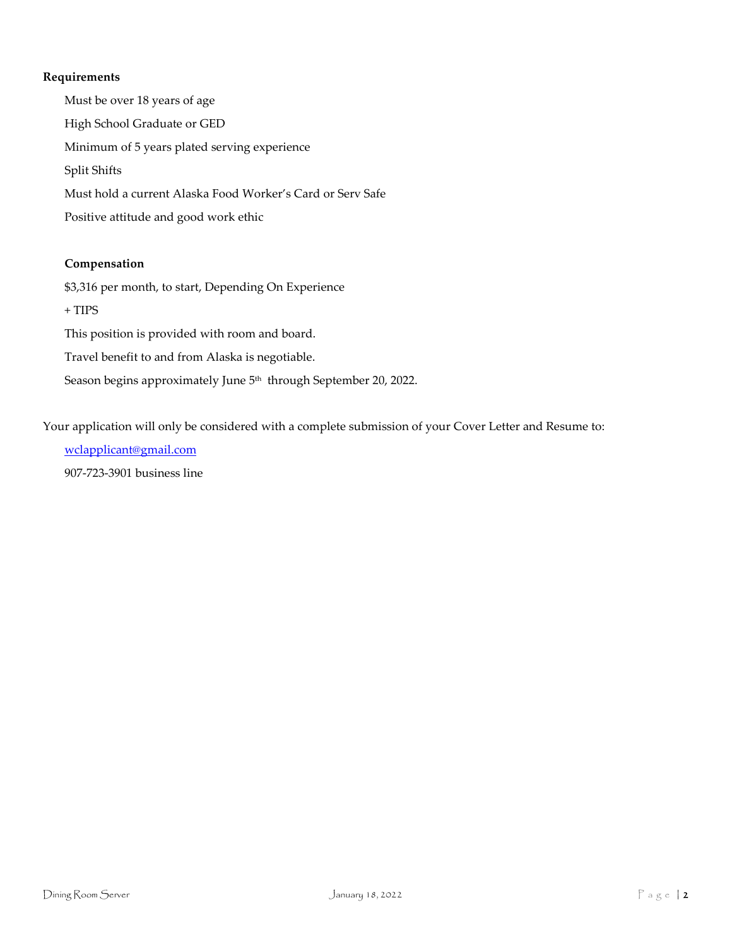## **Requirements**

Must be over 18 years of age High School Graduate or GED Minimum of 5 years plated serving experience Split Shifts Must hold a current Alaska Food Worker's Card or Serv Safe Positive attitude and good work ethic

## **Compensation**

\$3,316 per month, to start, Depending On Experience  $+$  TIPS This position is provided with room and board. Travel benefit to and from Alaska is negotiable. Season begins approximately June 5<sup>th</sup> through September 20, 2022.

Your application will only be considered with a complete submission of your Cover Letter and Resume to:

[wclapplicant@gmail.com](mailto:wclapplicant@gmail.com) 907-723-3901 business line